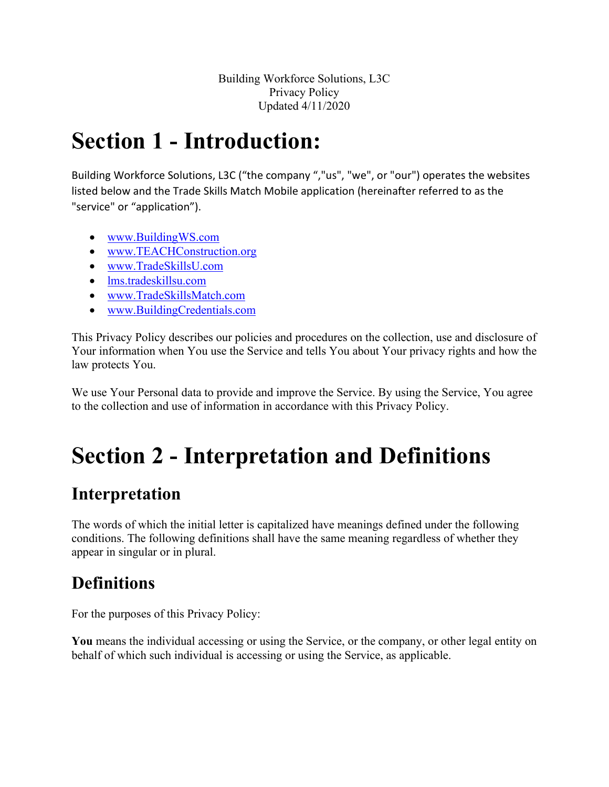Building Workforce Solutions, L3C Privacy Policy Updated 4/11/2020

# **Section 1 - Introduction:**

Building Workforce Solutions, L3C ("the company ","us", "we", or "our") operates the websites listed below and the Trade Skills Match Mobile application (hereinafter referred to as the "service" or "application").

- [www.BuildingWS.com](http://www.buildingws.com/)
- [www.TEACHConstruction.org](http://www.teachconstruction.org/)
- [www.TradeSkillsU.com](http://www.tradeskillsu.com/)
- [lms.tradeskillsu.com](http://www.tradeskillsu.com/)
- [www.TradeSkillsMatch.com](http://www.tradeskillsmatch.com/)
- [www.BuildingCredentials.com](http://www.buildingcredentials.com/)

This Privacy Policy describes our policies and procedures on the collection, use and disclosure of Your information when You use the Service and tells You about Your privacy rights and how the law protects You.

We use Your Personal data to provide and improve the Service. By using the Service, You agree to the collection and use of information in accordance with this Privacy Policy.

# **Section 2 - Interpretation and Definitions**

### **Interpretation**

The words of which the initial letter is capitalized have meanings defined under the following conditions. The following definitions shall have the same meaning regardless of whether they appear in singular or in plural.

### **Definitions**

For the purposes of this Privacy Policy:

**You** means the individual accessing or using the Service, or the company, or other legal entity on behalf of which such individual is accessing or using the Service, as applicable.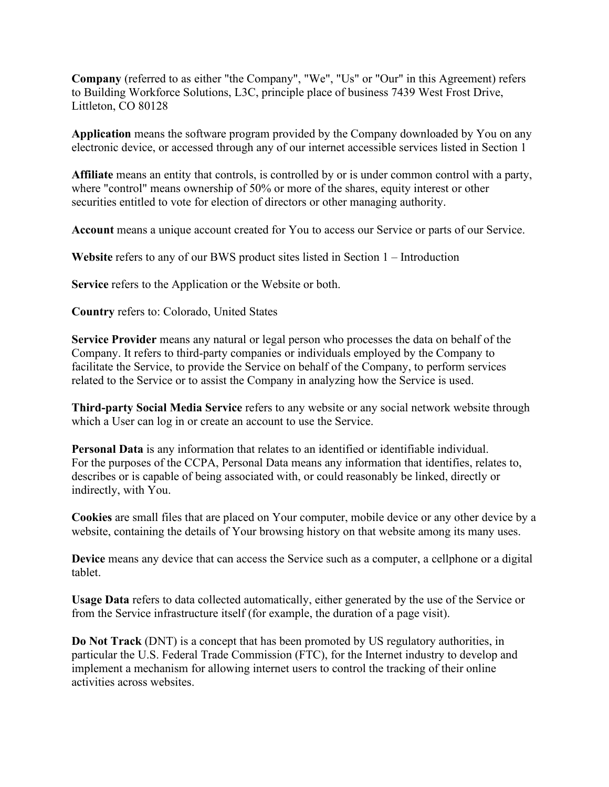**Company** (referred to as either "the Company", "We", "Us" or "Our" in this Agreement) refers to Building Workforce Solutions, L3C, principle place of business 7439 West Frost Drive, Littleton, CO 80128

**Application** means the software program provided by the Company downloaded by You on any electronic device, or accessed through any of our internet accessible services listed in Section 1

**Affiliate** means an entity that controls, is controlled by or is under common control with a party, where "control" means ownership of 50% or more of the shares, equity interest or other securities entitled to vote for election of directors or other managing authority.

Account means a unique account created for You to access our Service or parts of our Service.

**Website** refers to any of our BWS product sites listed in Section 1 – Introduction

**Service** refers to the Application or the Website or both.

**Country** refers to: Colorado, United States

**Service Provider** means any natural or legal person who processes the data on behalf of the Company. It refers to third-party companies or individuals employed by the Company to facilitate the Service, to provide the Service on behalf of the Company, to perform services related to the Service or to assist the Company in analyzing how the Service is used.

**Third-party Social Media Service** refers to any website or any social network website through which a User can log in or create an account to use the Service.

**Personal Data** is any information that relates to an identified or identifiable individual. For the purposes of the CCPA, Personal Data means any information that identifies, relates to, describes or is capable of being associated with, or could reasonably be linked, directly or indirectly, with You.

**Cookies** are small files that are placed on Your computer, mobile device or any other device by a website, containing the details of Your browsing history on that website among its many uses.

**Device** means any device that can access the Service such as a computer, a cellphone or a digital tablet.

**Usage Data** refers to data collected automatically, either generated by the use of the Service or from the Service infrastructure itself (for example, the duration of a page visit).

**Do Not Track** (DNT) is a concept that has been promoted by US regulatory authorities, in particular the U.S. Federal Trade Commission (FTC), for the Internet industry to develop and implement a mechanism for allowing internet users to control the tracking of their online activities across websites.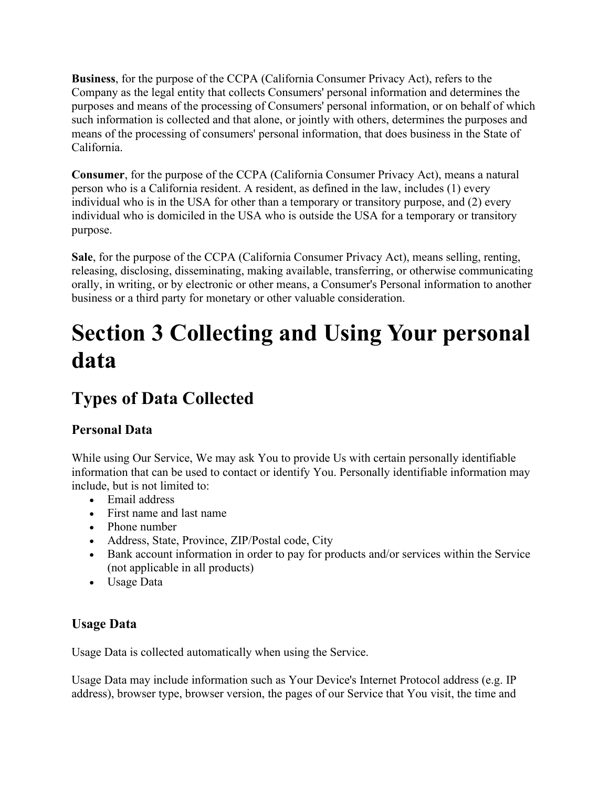**Business**, for the purpose of the CCPA (California Consumer Privacy Act), refers to the Company as the legal entity that collects Consumers' personal information and determines the purposes and means of the processing of Consumers' personal information, or on behalf of which such information is collected and that alone, or jointly with others, determines the purposes and means of the processing of consumers' personal information, that does business in the State of California.

**Consumer**, for the purpose of the CCPA (California Consumer Privacy Act), means a natural person who is a California resident. A resident, as defined in the law, includes (1) every individual who is in the USA for other than a temporary or transitory purpose, and (2) every individual who is domiciled in the USA who is outside the USA for a temporary or transitory purpose.

**Sale**, for the purpose of the CCPA (California Consumer Privacy Act), means selling, renting, releasing, disclosing, disseminating, making available, transferring, or otherwise communicating orally, in writing, or by electronic or other means, a Consumer's Personal information to another business or a third party for monetary or other valuable consideration.

# **Section 3 Collecting and Using Your personal data**

# **Types of Data Collected**

#### **Personal Data**

While using Our Service, We may ask You to provide Us with certain personally identifiable information that can be used to contact or identify You. Personally identifiable information may include, but is not limited to:

- Email address
- First name and last name
- Phone number
- Address, State, Province, ZIP/Postal code, City
- Bank account information in order to pay for products and/or services within the Service (not applicable in all products)
- Usage Data

#### **Usage Data**

Usage Data is collected automatically when using the Service.

Usage Data may include information such as Your Device's Internet Protocol address (e.g. IP address), browser type, browser version, the pages of our Service that You visit, the time and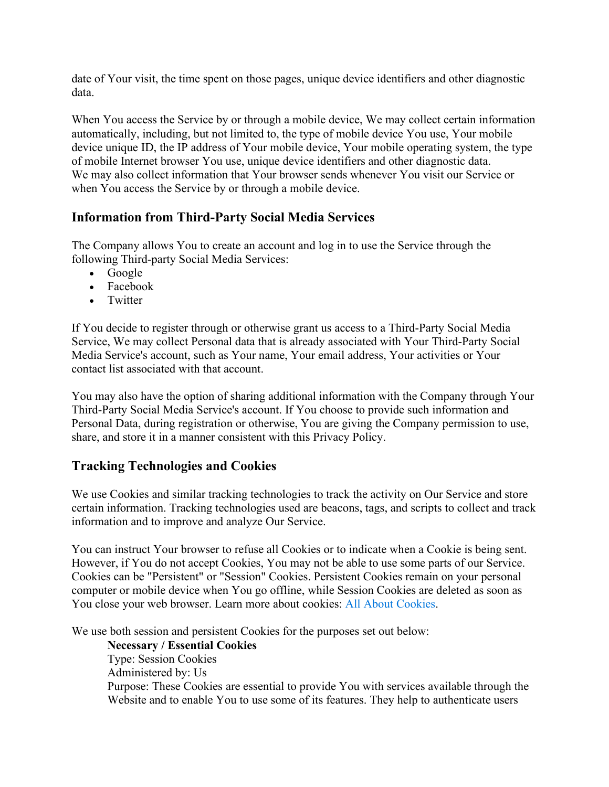date of Your visit, the time spent on those pages, unique device identifiers and other diagnostic data.

When You access the Service by or through a mobile device, We may collect certain information automatically, including, but not limited to, the type of mobile device You use, Your mobile device unique ID, the IP address of Your mobile device, Your mobile operating system, the type of mobile Internet browser You use, unique device identifiers and other diagnostic data. We may also collect information that Your browser sends whenever You visit our Service or when You access the Service by or through a mobile device.

#### **Information from Third-Party Social Media Services**

The Company allows You to create an account and log in to use the Service through the following Third-party Social Media Services:

- Google
- Facebook
- Twitter

If You decide to register through or otherwise grant us access to a Third-Party Social Media Service, We may collect Personal data that is already associated with Your Third-Party Social Media Service's account, such as Your name, Your email address, Your activities or Your contact list associated with that account.

You may also have the option of sharing additional information with the Company through Your Third-Party Social Media Service's account. If You choose to provide such information and Personal Data, during registration or otherwise, You are giving the Company permission to use, share, and store it in a manner consistent with this Privacy Policy.

#### **Tracking Technologies and Cookies**

We use Cookies and similar tracking technologies to track the activity on Our Service and store certain information. Tracking technologies used are beacons, tags, and scripts to collect and track information and to improve and analyze Our Service.

You can instruct Your browser to refuse all Cookies or to indicate when a Cookie is being sent. However, if You do not accept Cookies, You may not be able to use some parts of our Service. Cookies can be "Persistent" or "Session" Cookies. Persistent Cookies remain on your personal computer or mobile device when You go offline, while Session Cookies are deleted as soon as You close your web browser. Learn more about cookies: [All About Cookies.](https://www.termsfeed.com/blog/cookies/)

We use both session and persistent Cookies for the purposes set out below:

#### **Necessary / Essential Cookies**

Type: Session Cookies Administered by: Us Purpose: These Cookies are essential to provide You with services available through the Website and to enable You to use some of its features. They help to authenticate users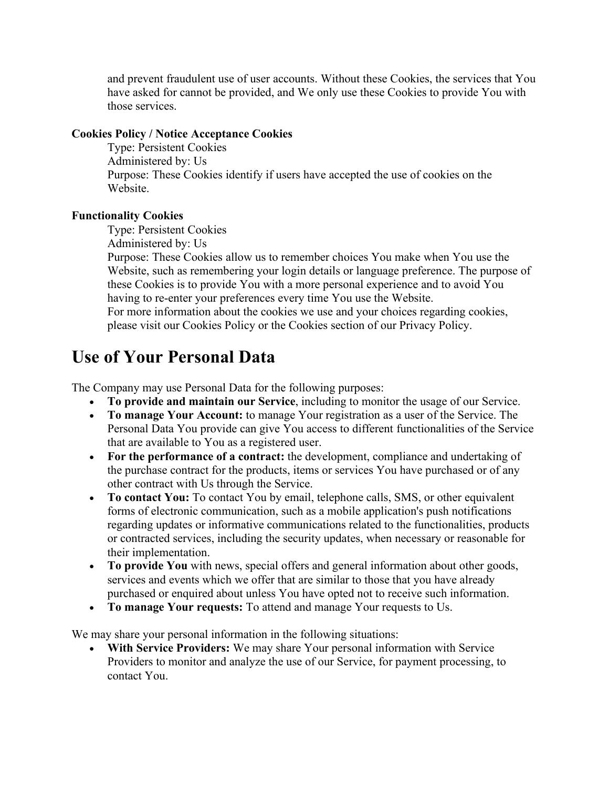and prevent fraudulent use of user accounts. Without these Cookies, the services that You have asked for cannot be provided, and We only use these Cookies to provide You with those services.

#### **Cookies Policy / Notice Acceptance Cookies**

Type: Persistent Cookies Administered by: Us Purpose: These Cookies identify if users have accepted the use of cookies on the Website.

#### **Functionality Cookies**

Type: Persistent Cookies

Administered by: Us

Purpose: These Cookies allow us to remember choices You make when You use the Website, such as remembering your login details or language preference. The purpose of these Cookies is to provide You with a more personal experience and to avoid You having to re-enter your preferences every time You use the Website.

For more information about the cookies we use and your choices regarding cookies, please visit our Cookies Policy or the Cookies section of our Privacy Policy.

#### **Use of Your Personal Data**

The Company may use Personal Data for the following purposes:

- **To provide and maintain our Service**, including to monitor the usage of our Service.
- **To manage Your Account:** to manage Your registration as a user of the Service. The Personal Data You provide can give You access to different functionalities of the Service that are available to You as a registered user.
- **For the performance of a contract:** the development, compliance and undertaking of the purchase contract for the products, items or services You have purchased or of any other contract with Us through the Service.
- **To contact You:** To contact You by email, telephone calls, SMS, or other equivalent forms of electronic communication, such as a mobile application's push notifications regarding updates or informative communications related to the functionalities, products or contracted services, including the security updates, when necessary or reasonable for their implementation.
- **To provide You** with news, special offers and general information about other goods, services and events which we offer that are similar to those that you have already purchased or enquired about unless You have opted not to receive such information.
- **To manage Your requests:** To attend and manage Your requests to Us.

We may share your personal information in the following situations:

• **With Service Providers:** We may share Your personal information with Service Providers to monitor and analyze the use of our Service, for payment processing, to contact You.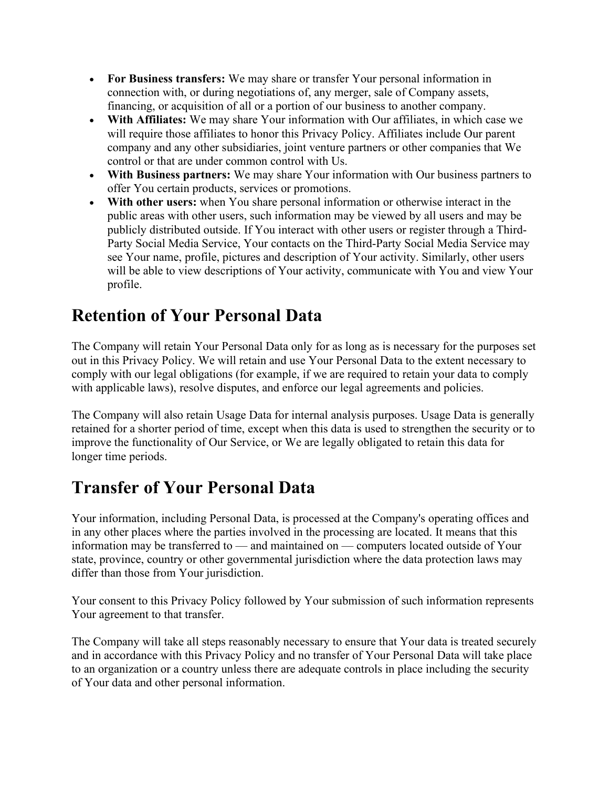- **For Business transfers:** We may share or transfer Your personal information in connection with, or during negotiations of, any merger, sale of Company assets, financing, or acquisition of all or a portion of our business to another company.
- **With Affiliates:** We may share Your information with Our affiliates, in which case we will require those affiliates to honor this Privacy Policy. Affiliates include Our parent company and any other subsidiaries, joint venture partners or other companies that We control or that are under common control with Us.
- **With Business partners:** We may share Your information with Our business partners to offer You certain products, services or promotions.
- **With other users:** when You share personal information or otherwise interact in the public areas with other users, such information may be viewed by all users and may be publicly distributed outside. If You interact with other users or register through a Third-Party Social Media Service, Your contacts on the Third-Party Social Media Service may see Your name, profile, pictures and description of Your activity. Similarly, other users will be able to view descriptions of Your activity, communicate with You and view Your profile.

### **Retention of Your Personal Data**

The Company will retain Your Personal Data only for as long as is necessary for the purposes set out in this Privacy Policy. We will retain and use Your Personal Data to the extent necessary to comply with our legal obligations (for example, if we are required to retain your data to comply with applicable laws), resolve disputes, and enforce our legal agreements and policies.

The Company will also retain Usage Data for internal analysis purposes. Usage Data is generally retained for a shorter period of time, except when this data is used to strengthen the security or to improve the functionality of Our Service, or We are legally obligated to retain this data for longer time periods.

# **Transfer of Your Personal Data**

Your information, including Personal Data, is processed at the Company's operating offices and in any other places where the parties involved in the processing are located. It means that this information may be transferred to — and maintained on — computers located outside of Your state, province, country or other governmental jurisdiction where the data protection laws may differ than those from Your jurisdiction.

Your consent to this Privacy Policy followed by Your submission of such information represents Your agreement to that transfer.

The Company will take all steps reasonably necessary to ensure that Your data is treated securely and in accordance with this Privacy Policy and no transfer of Your Personal Data will take place to an organization or a country unless there are adequate controls in place including the security of Your data and other personal information.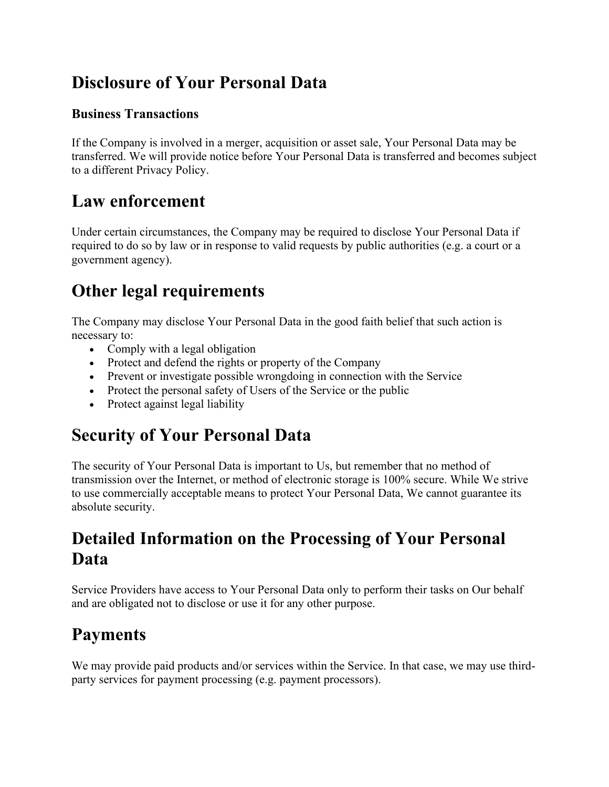# **Disclosure of Your Personal Data**

#### **Business Transactions**

If the Company is involved in a merger, acquisition or asset sale, Your Personal Data may be transferred. We will provide notice before Your Personal Data is transferred and becomes subject to a different Privacy Policy.

#### **Law enforcement**

Under certain circumstances, the Company may be required to disclose Your Personal Data if required to do so by law or in response to valid requests by public authorities (e.g. a court or a government agency).

# **Other legal requirements**

The Company may disclose Your Personal Data in the good faith belief that such action is necessary to:

- Comply with a legal obligation
- Protect and defend the rights or property of the Company
- Prevent or investigate possible wrongdoing in connection with the Service
- Protect the personal safety of Users of the Service or the public
- Protect against legal liability

### **Security of Your Personal Data**

The security of Your Personal Data is important to Us, but remember that no method of transmission over the Internet, or method of electronic storage is 100% secure. While We strive to use commercially acceptable means to protect Your Personal Data, We cannot guarantee its absolute security.

### **Detailed Information on the Processing of Your Personal Data**

Service Providers have access to Your Personal Data only to perform their tasks on Our behalf and are obligated not to disclose or use it for any other purpose.

### **Payments**

We may provide paid products and/or services within the Service. In that case, we may use thirdparty services for payment processing (e.g. payment processors).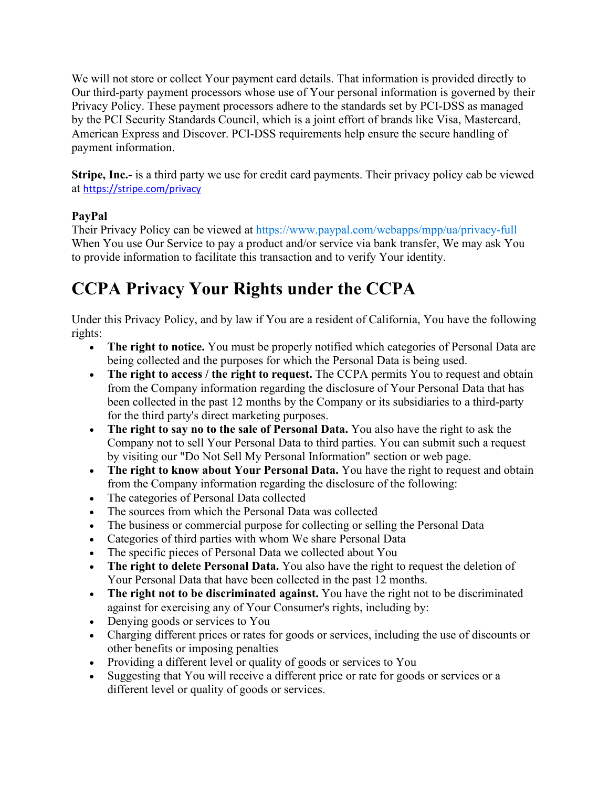We will not store or collect Your payment card details. That information is provided directly to Our third-party payment processors whose use of Your personal information is governed by their Privacy Policy. These payment processors adhere to the standards set by PCI-DSS as managed by the PCI Security Standards Council, which is a joint effort of brands like Visa, Mastercard, American Express and Discover. PCI-DSS requirements help ensure the secure handling of payment information.

**Stripe, Inc.-** is a third party we use for credit card payments. Their privacy policy cab be viewed at <https://stripe.com/privacy>

#### **PayPal**

Their Privacy Policy can be viewed at <https://www.paypal.com/webapps/mpp/ua/privacy-full> When You use Our Service to pay a product and/or service via bank transfer, We may ask You to provide information to facilitate this transaction and to verify Your identity.

# **CCPA Privacy Your Rights under the CCPA**

Under this Privacy Policy, and by law if You are a resident of California, You have the following rights:

- **The right to notice.** You must be properly notified which categories of Personal Data are being collected and the purposes for which the Personal Data is being used.
- The right to access / the right to request. The CCPA permits You to request and obtain from the Company information regarding the disclosure of Your Personal Data that has been collected in the past 12 months by the Company or its subsidiaries to a third-party for the third party's direct marketing purposes.
- **The right to say no to the sale of Personal Data.** You also have the right to ask the Company not to sell Your Personal Data to third parties. You can submit such a request by visiting our "Do Not Sell My Personal Information" section or web page.
- **The right to know about Your Personal Data.** You have the right to request and obtain from the Company information regarding the disclosure of the following:
- The categories of Personal Data collected
- The sources from which the Personal Data was collected
- The business or commercial purpose for collecting or selling the Personal Data
- Categories of third parties with whom We share Personal Data
- The specific pieces of Personal Data we collected about You
- **The right to delete Personal Data.** You also have the right to request the deletion of Your Personal Data that have been collected in the past 12 months.
- **The right not to be discriminated against.** You have the right not to be discriminated against for exercising any of Your Consumer's rights, including by:
- Denying goods or services to You
- Charging different prices or rates for goods or services, including the use of discounts or other benefits or imposing penalties
- Providing a different level or quality of goods or services to You
- Suggesting that You will receive a different price or rate for goods or services or a different level or quality of goods or services.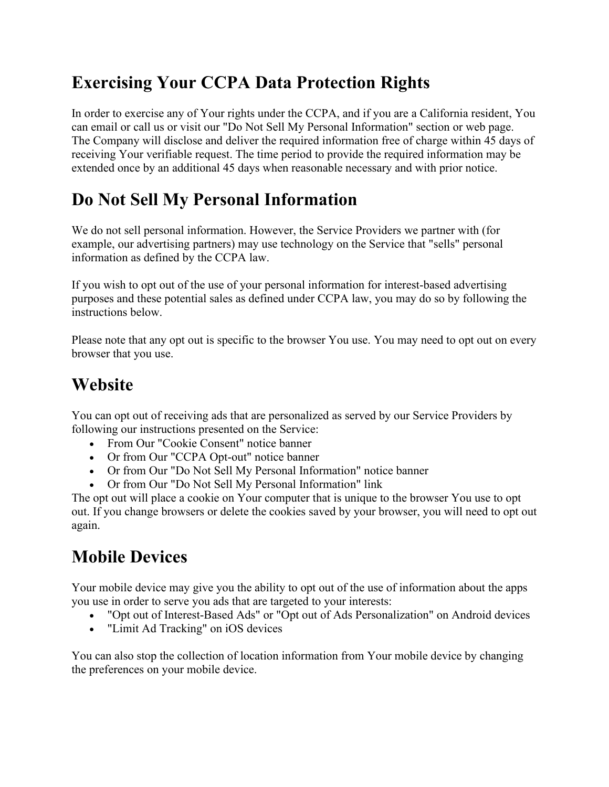# **Exercising Your CCPA Data Protection Rights**

In order to exercise any of Your rights under the CCPA, and if you are a California resident, You can email or call us or visit our "Do Not Sell My Personal Information" section or web page. The Company will disclose and deliver the required information free of charge within 45 days of receiving Your verifiable request. The time period to provide the required information may be extended once by an additional 45 days when reasonable necessary and with prior notice.

# **Do Not Sell My Personal Information**

We do not sell personal information. However, the Service Providers we partner with (for example, our advertising partners) may use technology on the Service that "sells" personal information as defined by the CCPA law.

If you wish to opt out of the use of your personal information for interest-based advertising purposes and these potential sales as defined under CCPA law, you may do so by following the instructions below.

Please note that any opt out is specific to the browser You use. You may need to opt out on every browser that you use.

### **Website**

You can opt out of receiving ads that are personalized as served by our Service Providers by following our instructions presented on the Service:

- From Our "Cookie Consent" notice banner
- Or from Our "CCPA Opt-out" notice banner
- Or from Our "Do Not Sell My Personal Information" notice banner
- Or from Our "Do Not Sell My Personal Information" link

The opt out will place a cookie on Your computer that is unique to the browser You use to opt out. If you change browsers or delete the cookies saved by your browser, you will need to opt out again.

# **Mobile Devices**

Your mobile device may give you the ability to opt out of the use of information about the apps you use in order to serve you ads that are targeted to your interests:

- "Opt out of Interest-Based Ads" or "Opt out of Ads Personalization" on Android devices
- "Limit Ad Tracking" on iOS devices

You can also stop the collection of location information from Your mobile device by changing the preferences on your mobile device.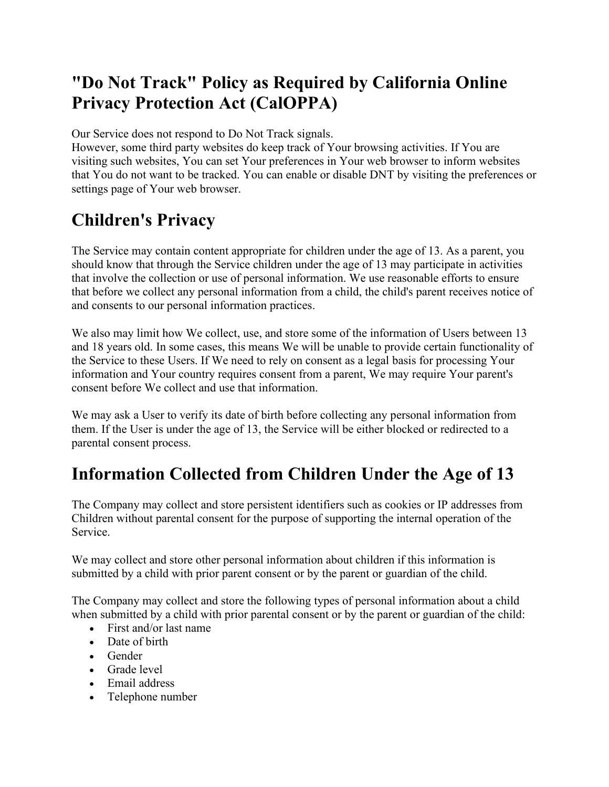# **"Do Not Track" Policy as Required by California Online Privacy Protection Act (CalOPPA)**

Our Service does not respond to Do Not Track signals.

However, some third party websites do keep track of Your browsing activities. If You are visiting such websites, You can set Your preferences in Your web browser to inform websites that You do not want to be tracked. You can enable or disable DNT by visiting the preferences or settings page of Your web browser.

### **Children's Privacy**

The Service may contain content appropriate for children under the age of 13. As a parent, you should know that through the Service children under the age of 13 may participate in activities that involve the collection or use of personal information. We use reasonable efforts to ensure that before we collect any personal information from a child, the child's parent receives notice of and consents to our personal information practices.

We also may limit how We collect, use, and store some of the information of Users between 13 and 18 years old. In some cases, this means We will be unable to provide certain functionality of the Service to these Users. If We need to rely on consent as a legal basis for processing Your information and Your country requires consent from a parent, We may require Your parent's consent before We collect and use that information.

We may ask a User to verify its date of birth before collecting any personal information from them. If the User is under the age of 13, the Service will be either blocked or redirected to a parental consent process.

#### **Information Collected from Children Under the Age of 13**

The Company may collect and store persistent identifiers such as cookies or IP addresses from Children without parental consent for the purpose of supporting the internal operation of the Service.

We may collect and store other personal information about children if this information is submitted by a child with prior parent consent or by the parent or guardian of the child.

The Company may collect and store the following types of personal information about a child when submitted by a child with prior parental consent or by the parent or guardian of the child:

- First and/or last name
- Date of birth
- Gender
- Grade level
- Email address
- Telephone number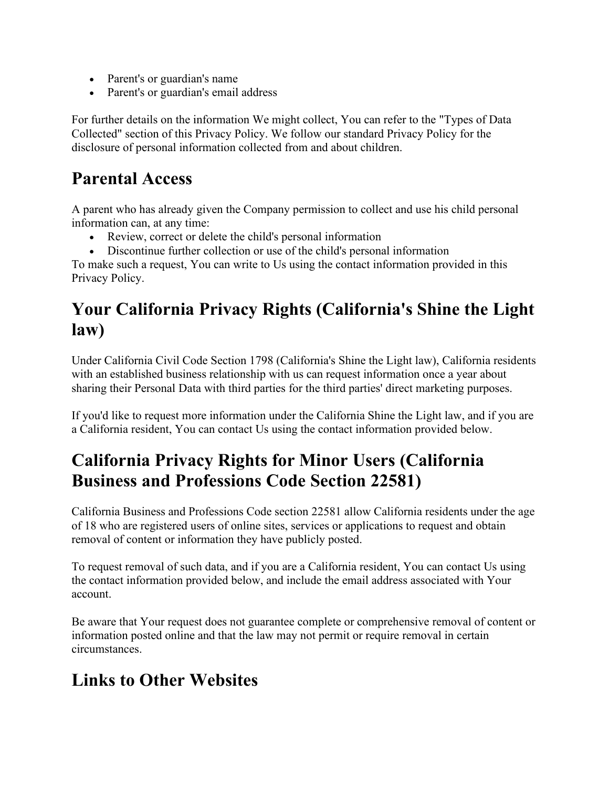- Parent's or guardian's name
- Parent's or guardian's email address

For further details on the information We might collect, You can refer to the "Types of Data Collected" section of this Privacy Policy. We follow our standard Privacy Policy for the disclosure of personal information collected from and about children.

#### **Parental Access**

A parent who has already given the Company permission to collect and use his child personal information can, at any time:

- Review, correct or delete the child's personal information
- Discontinue further collection or use of the child's personal information

To make such a request, You can write to Us using the contact information provided in this Privacy Policy.

### **Your California Privacy Rights (California's Shine the Light law)**

Under California Civil Code Section 1798 (California's Shine the Light law), California residents with an established business relationship with us can request information once a year about sharing their Personal Data with third parties for the third parties' direct marketing purposes.

If you'd like to request more information under the California Shine the Light law, and if you are a California resident, You can contact Us using the contact information provided below.

# **California Privacy Rights for Minor Users (California Business and Professions Code Section 22581)**

California Business and Professions Code section 22581 allow California residents under the age of 18 who are registered users of online sites, services or applications to request and obtain removal of content or information they have publicly posted.

To request removal of such data, and if you are a California resident, You can contact Us using the contact information provided below, and include the email address associated with Your account.

Be aware that Your request does not guarantee complete or comprehensive removal of content or information posted online and that the law may not permit or require removal in certain circumstances.

### **Links to Other Websites**